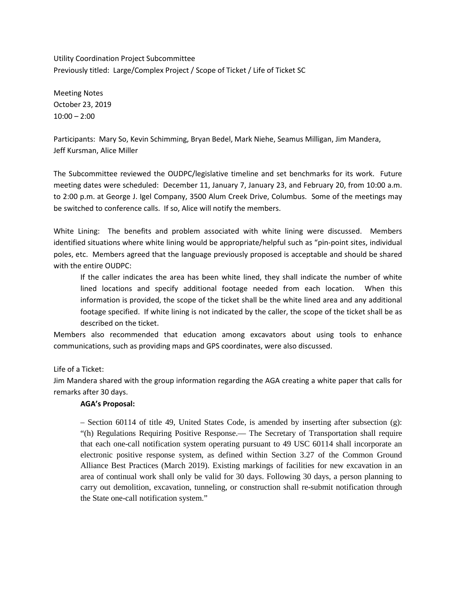Utility Coordination Project Subcommittee Previously titled: Large/Complex Project / Scope of Ticket / Life of Ticket SC

Meeting Notes October 23, 2019  $10:00 - 2:00$ 

Participants: Mary So, Kevin Schimming, Bryan Bedel, Mark Niehe, Seamus Milligan, Jim Mandera, Jeff Kursman, Alice Miller

The Subcommittee reviewed the OUDPC/legislative timeline and set benchmarks for its work. Future meeting dates were scheduled: December 11, January 7, January 23, and February 20, from 10:00 a.m. to 2:00 p.m. at George J. Igel Company, 3500 Alum Creek Drive, Columbus. Some of the meetings may be switched to conference calls. If so, Alice will notify the members.

White Lining: The benefits and problem associated with white lining were discussed. Members identified situations where white lining would be appropriate/helpful such as "pin-point sites, individual poles, etc. Members agreed that the language previously proposed is acceptable and should be shared with the entire OUDPC:

If the caller indicates the area has been white lined, they shall indicate the number of white lined locations and specify additional footage needed from each location. When this information is provided, the scope of the ticket shall be the white lined area and any additional footage specified. If white lining is not indicated by the caller, the scope of the ticket shall be as described on the ticket.

Members also recommended that education among excavators about using tools to enhance communications, such as providing maps and GPS coordinates, were also discussed.

Life of a Ticket:

Jim Mandera shared with the group information regarding the AGA creating a white paper that calls for remarks after 30 days.

## **AGA's Proposal:**

 – Section 60114 of title 49, United States Code, is amended by inserting after subsection (g): "(h) Regulations Requiring Positive Response.— The Secretary of Transportation shall require that each one-call notification system operating pursuant to 49 USC 60114 shall incorporate an electronic positive response system, as defined within Section 3.27 of the Common Ground Alliance Best Practices (March 2019). Existing markings of facilities for new excavation in an area of continual work shall only be valid for 30 days. Following 30 days, a person planning to carry out demolition, excavation, tunneling, or construction shall re-submit notification through the State one-call notification system."